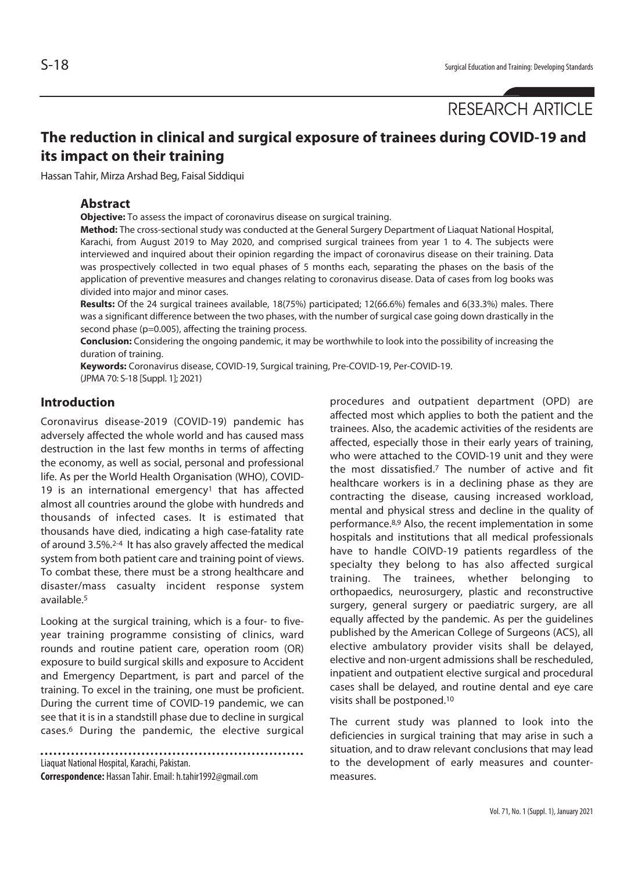# **The reduction in clinical and surgical exposure of trainees during COVID-19 and its impact on their training**

Hassan Tahir, Mirza Arshad Beg, Faisal Siddiqui

## **Abstract**

**Objective:** To assess the impact of coronavirus disease on surgical training.

**Method:** The cross-sectional study was conducted at the General Surgery Department of Liaquat National Hospital, Karachi, from August 2019 to May 2020, and comprised surgical trainees from year 1 to 4. The subjects were interviewed and inquired about their opinion regarding the impact of coronavirus disease on their training. Data was prospectively collected in two equal phases of 5 months each, separating the phases on the basis of the application of preventive measures and changes relating to coronavirus disease. Data of cases from log books was divided into major and minor cases.

**Results:** Of the 24 surgical trainees available, 18(75%) participated; 12(66.6%) females and 6(33.3%) males. There was a significant difference between the two phases, with the number of surgical case going down drastically in the second phase (p=0.005), affecting the training process.

**Conclusion:** Considering the ongoing pandemic, it may be worthwhile to look into the possibility of increasing the duration of training.

**Keywords:** Coronavirus disease, COVID-19, Surgical training, Pre-COVID-19, Per-COVID-19. (JPMA 70: S-18 [Suppl. 1]; 2021)

# **Introduction**

Coronavirus disease-2019 (COVID-19) pandemic has adversely affected the whole world and has caused mass destruction in the last few months in terms of affecting the economy, as well as social, personal and professional life. As per the World Health Organisation (WHO), COVID-19 is an international emergency<sup>1</sup> that has affected almost all countries around the globe with hundreds and thousands of infected cases. It is estimated that thousands have died, indicating a high case-fatality rate of around 3.5%.2-4 It has also gravely affected the medical system from both patient care and training point of views. To combat these, there must be a strong healthcare and disaster/mass casualty incident response system available.5

Looking at the surgical training, which is a four- to fiveyear training programme consisting of clinics, ward rounds and routine patient care, operation room (OR) exposure to build surgical skills and exposure to Accident and Emergency Department, is part and parcel of the training. To excel in the training, one must be proficient. During the current time of COVID-19 pandemic, we can see that it is in a standstill phase due to decline in surgical cases.6 During the pandemic, the elective surgical

Liaquat National Hospital, Karachi, Pakistan.

**Correspondence:** Hassan Tahir. Email: h.tahir1992@gmail.com

procedures and outpatient department (OPD) are affected most which applies to both the patient and the trainees. Also, the academic activities of the residents are affected, especially those in their early years of training, who were attached to the COVID-19 unit and they were the most dissatisfied.7 The number of active and fit healthcare workers is in a declining phase as they are contracting the disease, causing increased workload, mental and physical stress and decline in the quality of performance.8,9 Also, the recent implementation in some hospitals and institutions that all medical professionals have to handle COIVD-19 patients regardless of the specialty they belong to has also affected surgical training. The trainees, whether belonging to orthopaedics, neurosurgery, plastic and reconstructive surgery, general surgery or paediatric surgery, are all equally affected by the pandemic. As per the guidelines published by the American College of Surgeons (ACS), all elective ambulatory provider visits shall be delayed, elective and non-urgent admissions shall be rescheduled, inpatient and outpatient elective surgical and procedural cases shall be delayed, and routine dental and eye care visits shall be postponed.10

The current study was planned to look into the deficiencies in surgical training that may arise in such a situation, and to draw relevant conclusions that may lead to the development of early measures and countermeasures.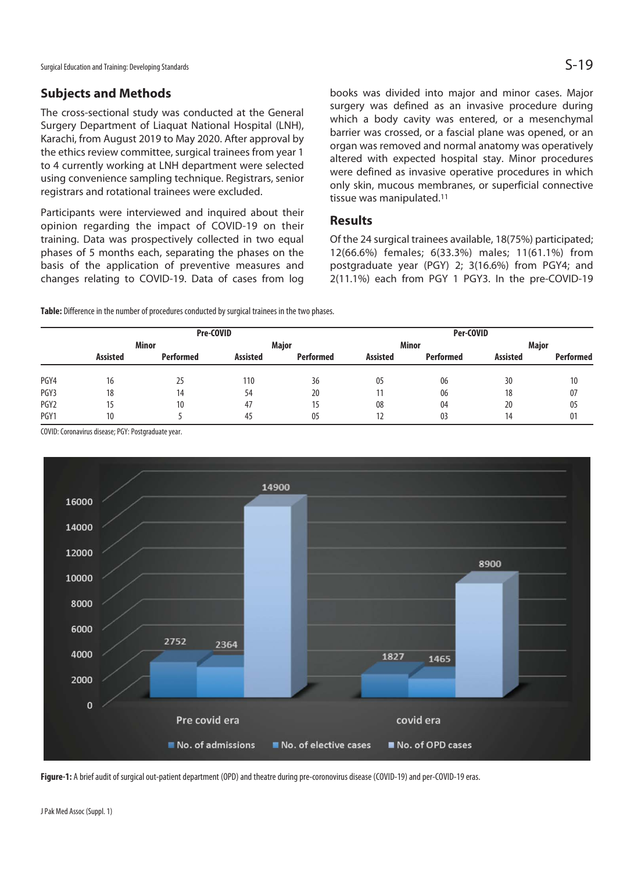Surgical Education and Training: Developing Standards  $\mathsf{S}\text{-}19$ 

# **Subjects and Methods**

The cross-sectional study was conducted at the General Surgery Department of Liaquat National Hospital (LNH), Karachi, from August 2019 to May 2020. After approval by the ethics review committee, surgical trainees from year 1 to 4 currently working at LNH department were selected using convenience sampling technique. Registrars, senior registrars and rotational trainees were excluded.

Participants were interviewed and inquired about their opinion regarding the impact of COVID-19 on their training. Data was prospectively collected in two equal phases of 5 months each, separating the phases on the basis of the application of preventive measures and changes relating to COVID-19. Data of cases from log

books was divided into major and minor cases. Major surgery was defined as an invasive procedure during which a body cavity was entered, or a mesenchymal barrier was crossed, or a fascial plane was opened, or an organ was removed and normal anatomy was operatively altered with expected hospital stay. Minor procedures were defined as invasive operative procedures in which only skin, mucous membranes, or superficial connective tissue was manipulated.11

## **Results**

Of the 24 surgical trainees available, 18(75%) participated; 12(66.6%) females; 6(33.3%) males; 11(61.1%) from postgraduate year (PGY) 2; 3(16.6%) from PGY4; and 2(11.1%) each from PGY 1 PGY3. In the pre-COVID-19

**Table:** Difference in the number of procedures conducted by surgical trainees in the two phases.

|                  | Pre-COVID       |                  |                 |                  | Per-COVID       |                  |                 |                  |
|------------------|-----------------|------------------|-----------------|------------------|-----------------|------------------|-----------------|------------------|
|                  | Minor           |                  | Major           |                  | Minor           |                  | Major           |                  |
|                  | <b>Assisted</b> | <b>Performed</b> | <b>Assisted</b> | <b>Performed</b> | <b>Assisted</b> | <b>Performed</b> | <b>Assisted</b> | <b>Performed</b> |
| PGY4             | 16              | 25               | 110             | 36               | 05              | 06               | 30              | 10               |
| PGY3             | 18              | 14               | 54              | 20               |                 | 06               | 18              | 07               |
| PGY <sub>2</sub> | 15              | 10               | 47              | 15               | 08              | 04               | 20              | 05               |
| PGY1             | 10              |                  | 45              | 05               | 12              | 03               | 14              | 01               |

COVID: Coronavirus disease; PGY: Postgraduate year.



Figure-1: A brief audit of surgical out-patient department (OPD) and theatre during pre-coronovirus disease (COVID-19) and per-COVID-19 eras.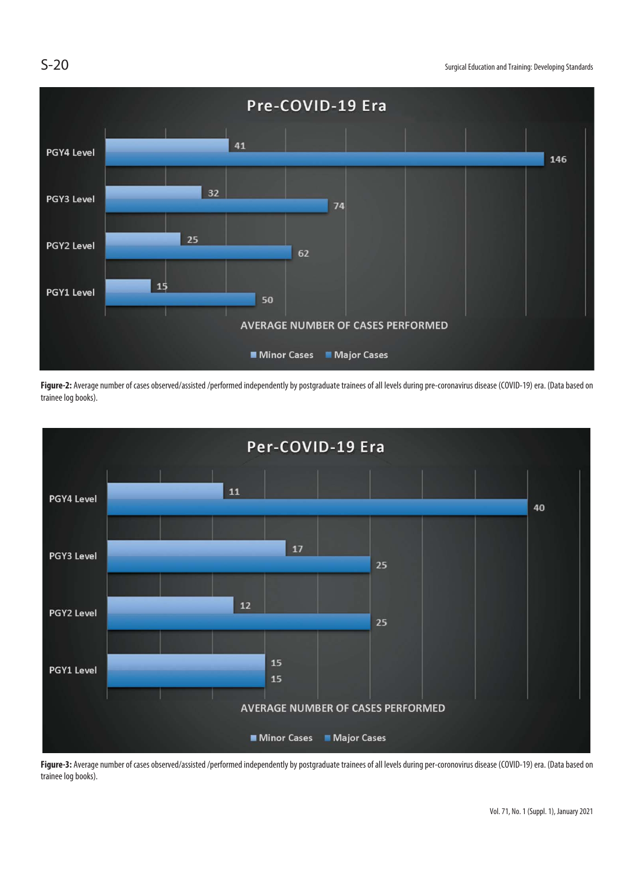

Figure-2: Average number of cases observed/assisted /performed independently by postgraduate trainees of all levels during pre-coronavirus disease (COVID-19) era. (Data based on trainee log books).



Figure-3: Average number of cases observed/assisted /performed independently by postgraduate trainees of all levels during per-coronovirus disease (COVID-19) era. (Data based on trainee log books).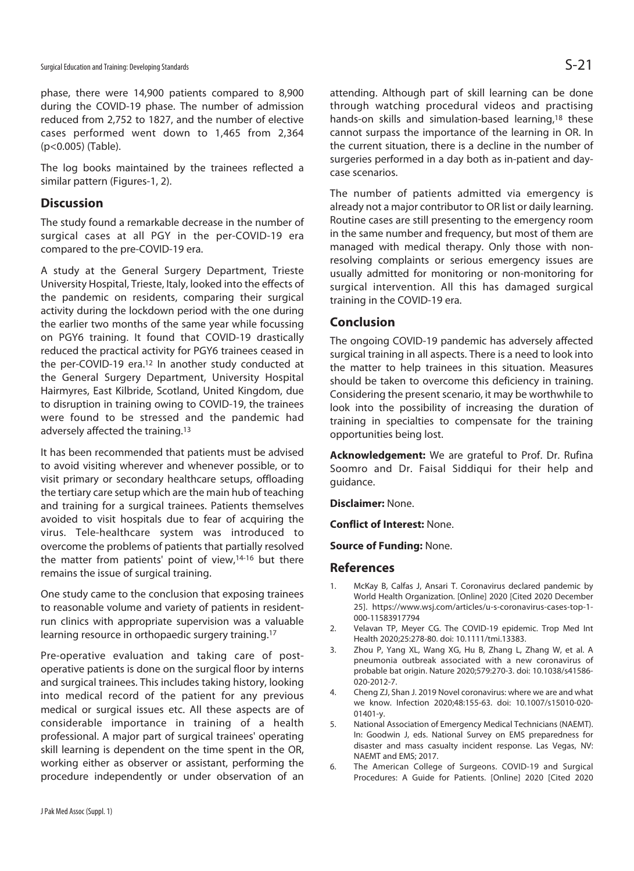phase, there were 14,900 patients compared to 8,900 during the COVID-19 phase. The number of admission reduced from 2,752 to 1827, and the number of elective cases performed went down to 1,465 from 2,364 (p<0.005) (Table).

The log books maintained by the trainees reflected a similar pattern (Figures-1, 2).

## **Discussion**

The study found a remarkable decrease in the number of surgical cases at all PGY in the per-COVID-19 era compared to the pre-COVID-19 era.

A study at the General Surgery Department, Trieste University Hospital, Trieste, Italy, looked into the effects of the pandemic on residents, comparing their surgical activity during the lockdown period with the one during the earlier two months of the same year while focussing on PGY6 training. It found that COVID-19 drastically reduced the practical activity for PGY6 trainees ceased in the per-COVID-19 era.<sup>12</sup> In another study conducted at the General Surgery Department, University Hospital Hairmyres, East Kilbride, Scotland, United Kingdom, due to disruption in training owing to COVID-19, the trainees were found to be stressed and the pandemic had adversely affected the training.13

It has been recommended that patients must be advised to avoid visiting wherever and whenever possible, or to visit primary or secondary healthcare setups, offloading the tertiary care setup which are the main hub of teaching and training for a surgical trainees. Patients themselves avoided to visit hospitals due to fear of acquiring the virus. Tele-healthcare system was introduced to overcome the problems of patients that partially resolved the matter from patients' point of view,14-16 but there remains the issue of surgical training.

One study came to the conclusion that exposing trainees to reasonable volume and variety of patients in residentrun clinics with appropriate supervision was a valuable learning resource in orthopaedic surgery training.<sup>17</sup>

Pre-operative evaluation and taking care of postoperative patients is done on the surgical floor by interns and surgical trainees. This includes taking history, looking into medical record of the patient for any previous medical or surgical issues etc. All these aspects are of considerable importance in training of a health professional. A major part of surgical trainees' operating skill learning is dependent on the time spent in the OR, working either as observer or assistant, performing the procedure independently or under observation of an

attending. Although part of skill learning can be done through watching procedural videos and practising hands-on skills and simulation-based learning,<sup>18</sup> these cannot surpass the importance of the learning in OR. In the current situation, there is a decline in the number of surgeries performed in a day both as in-patient and daycase scenarios.

The number of patients admitted via emergency is already not a major contributor to OR list or daily learning. Routine cases are still presenting to the emergency room in the same number and frequency, but most of them are managed with medical therapy. Only those with nonresolving complaints or serious emergency issues are usually admitted for monitoring or non-monitoring for surgical intervention. All this has damaged surgical training in the COVID-19 era.

## **Conclusion**

The ongoing COVID-19 pandemic has adversely affected surgical training in all aspects. There is a need to look into the matter to help trainees in this situation. Measures should be taken to overcome this deficiency in training. Considering the present scenario, it may be worthwhile to look into the possibility of increasing the duration of training in specialties to compensate for the training opportunities being lost.

**Acknowledgement:** We are grateful to Prof. Dr. Rufina Soomro and Dr. Faisal Siddiqui for their help and guidance.

**Disclaimer:** None.

**Conflict of Interest:** None.

**Source of Funding:** None.

### **References**

- 1. McKay B, Calfas J, Ansari T. Coronavirus declared pandemic by World Health Organization. [Online] 2020 [Cited 2020 December 25]. https://www.wsj.com/articles/u-s-coronavirus-cases-top-1- 000-11583917794
- 2. Velavan TP, Meyer CG. The COVID-19 epidemic. Trop Med Int Health 2020;25:278-80. doi: 10.1111/tmi.13383.
- 3. Zhou P, Yang XL, Wang XG, Hu B, Zhang L, Zhang W, et al. A pneumonia outbreak associated with a new coronavirus of probable bat origin. Nature 2020;579:270-3. doi: 10.1038/s41586- 020-2012-7.
- 4. Cheng ZJ, Shan J. 2019 Novel coronavirus: where we are and what we know. Infection 2020;48:155-63. doi: 10.1007/s15010-020- 01401-y.
- 5. National Association of Emergency Medical Technicians (NAEMT). In: Goodwin J, eds. National Survey on EMS preparedness for disaster and mass casualty incident response. Las Vegas, NV: NAEMT and EMS; 2017.
- 6. The American College of Surgeons. COVID-19 and Surgical Procedures: A Guide for Patients. [Online] 2020 [Cited 2020